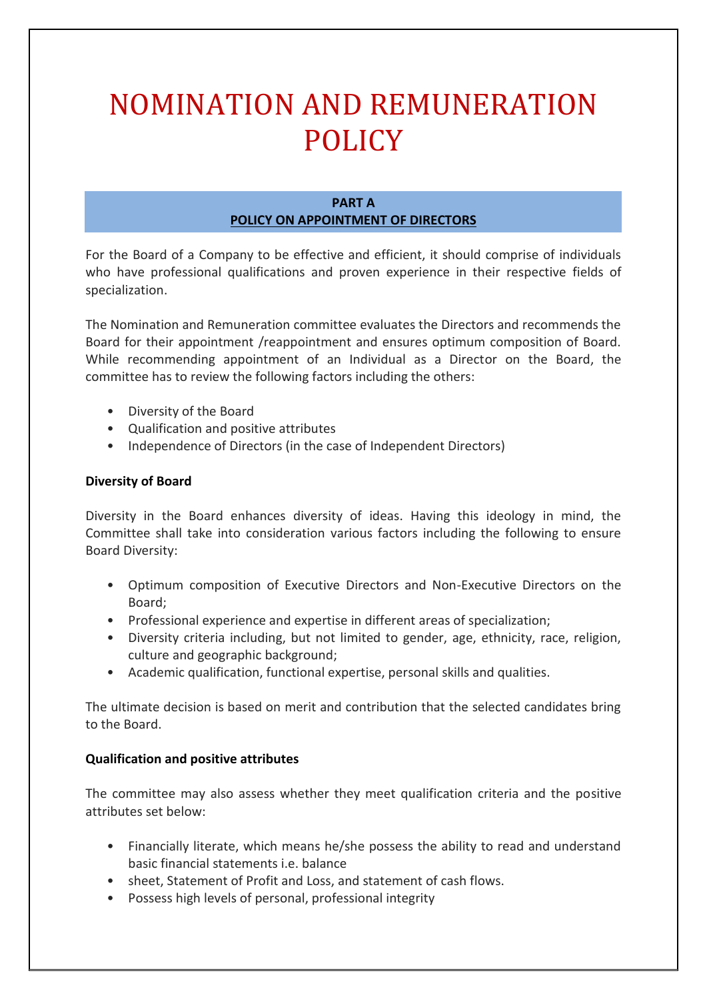# NOMINATION AND REMUNERATION POLICY

# **PART A POLICY ON APPOINTMENT OF DIRECTORS**

For the Board of a Company to be effective and efficient, it should comprise of individuals who have professional qualifications and proven experience in their respective fields of specialization.

The Nomination and Remuneration committee evaluates the Directors and recommends the Board for their appointment /reappointment and ensures optimum composition of Board. While recommending appointment of an Individual as a Director on the Board, the committee has to review the following factors including the others:

- Diversity of the Board
- Qualification and positive attributes
- Independence of Directors (in the case of Independent Directors)

# **Diversity of Board**

Diversity in the Board enhances diversity of ideas. Having this ideology in mind, the Committee shall take into consideration various factors including the following to ensure Board Diversity:

- Optimum composition of Executive Directors and Non-Executive Directors on the Board;
- Professional experience and expertise in different areas of specialization;
- Diversity criteria including, but not limited to gender, age, ethnicity, race, religion, culture and geographic background;
- Academic qualification, functional expertise, personal skills and qualities.

The ultimate decision is based on merit and contribution that the selected candidates bring to the Board.

## **Qualification and positive attributes**

The committee may also assess whether they meet qualification criteria and the positive attributes set below:

- Financially literate, which means he/she possess the ability to read and understand basic financial statements i.e. balance
- sheet, Statement of Profit and Loss, and statement of cash flows.
- Possess high levels of personal, professional integrity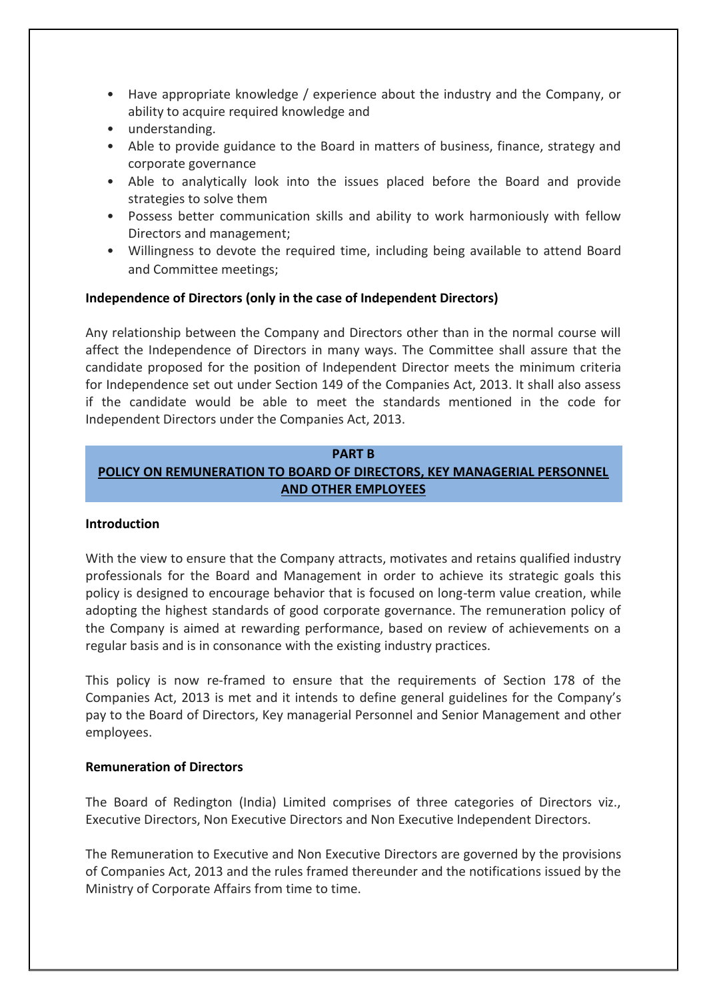- Have appropriate knowledge / experience about the industry and the Company, or ability to acquire required knowledge and
- understanding.
- Able to provide guidance to the Board in matters of business, finance, strategy and corporate governance
- Able to analytically look into the issues placed before the Board and provide strategies to solve them
- Possess better communication skills and ability to work harmoniously with fellow Directors and management;
- Willingness to devote the required time, including being available to attend Board and Committee meetings;

## **Independence of Directors (only in the case of Independent Directors)**

Any relationship between the Company and Directors other than in the normal course will affect the Independence of Directors in many ways. The Committee shall assure that the candidate proposed for the position of Independent Director meets the minimum criteria for Independence set out under Section 149 of the Companies Act, 2013. It shall also assess if the candidate would be able to meet the standards mentioned in the code for Independent Directors under the Companies Act, 2013.

# **PART B POLICY ON REMUNERATION TO BOARD OF DIRECTORS, KEY MANAGERIAL PERSONNEL AND OTHER EMPLOYEES**

#### **Introduction**

With the view to ensure that the Company attracts, motivates and retains qualified industry professionals for the Board and Management in order to achieve its strategic goals this policy is designed to encourage behavior that is focused on long-term value creation, while adopting the highest standards of good corporate governance. The remuneration policy of the Company is aimed at rewarding performance, based on review of achievements on a regular basis and is in consonance with the existing industry practices.

This policy is now re-framed to ensure that the requirements of Section 178 of the Companies Act, 2013 is met and it intends to define general guidelines for the Company's pay to the Board of Directors, Key managerial Personnel and Senior Management and other employees.

#### **Remuneration of Directors**

The Board of Redington (India) Limited comprises of three categories of Directors viz., Executive Directors, Non Executive Directors and Non Executive Independent Directors.

The Remuneration to Executive and Non Executive Directors are governed by the provisions of Companies Act, 2013 and the rules framed thereunder and the notifications issued by the Ministry of Corporate Affairs from time to time.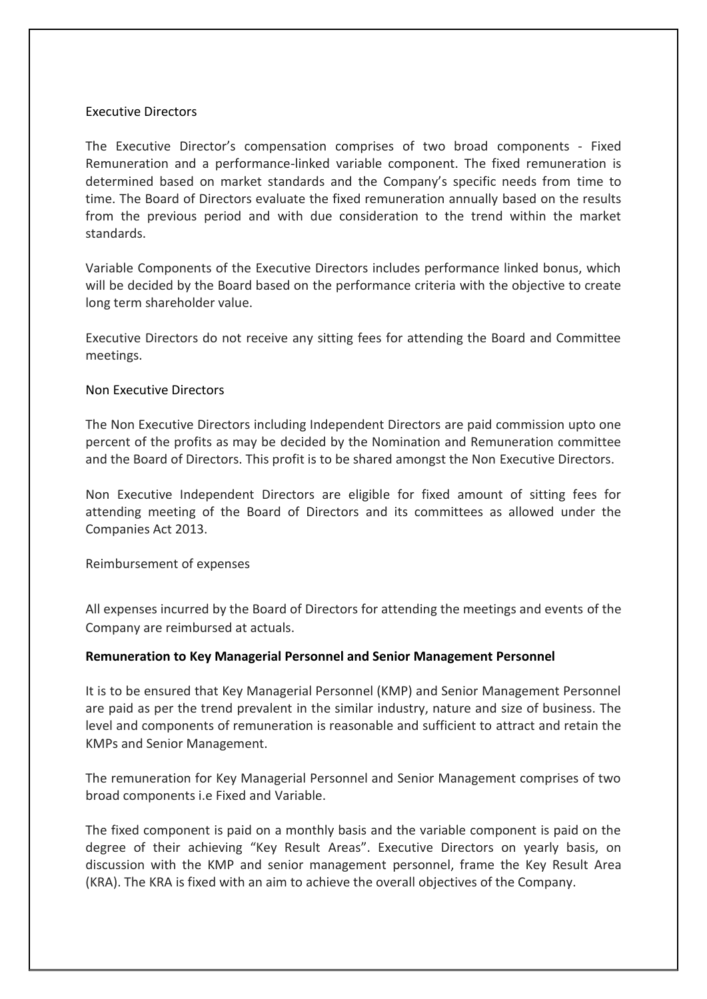## Executive Directors

The Executive Director's compensation comprises of two broad components - Fixed Remuneration and a performance-linked variable component. The fixed remuneration is determined based on market standards and the Company's specific needs from time to time. The Board of Directors evaluate the fixed remuneration annually based on the results from the previous period and with due consideration to the trend within the market standards.

Variable Components of the Executive Directors includes performance linked bonus, which will be decided by the Board based on the performance criteria with the objective to create long term shareholder value.

Executive Directors do not receive any sitting fees for attending the Board and Committee meetings.

## Non Executive Directors

The Non Executive Directors including Independent Directors are paid commission upto one percent of the profits as may be decided by the Nomination and Remuneration committee and the Board of Directors. This profit is to be shared amongst the Non Executive Directors.

Non Executive Independent Directors are eligible for fixed amount of sitting fees for attending meeting of the Board of Directors and its committees as allowed under the Companies Act 2013.

Reimbursement of expenses

All expenses incurred by the Board of Directors for attending the meetings and events of the Company are reimbursed at actuals.

## **Remuneration to Key Managerial Personnel and Senior Management Personnel**

It is to be ensured that Key Managerial Personnel (KMP) and Senior Management Personnel are paid as per the trend prevalent in the similar industry, nature and size of business. The level and components of remuneration is reasonable and sufficient to attract and retain the KMPs and Senior Management.

The remuneration for Key Managerial Personnel and Senior Management comprises of two broad components i.e Fixed and Variable.

The fixed component is paid on a monthly basis and the variable component is paid on the degree of their achieving "Key Result Areas". Executive Directors on yearly basis, on discussion with the KMP and senior management personnel, frame the Key Result Area (KRA). The KRA is fixed with an aim to achieve the overall objectives of the Company.